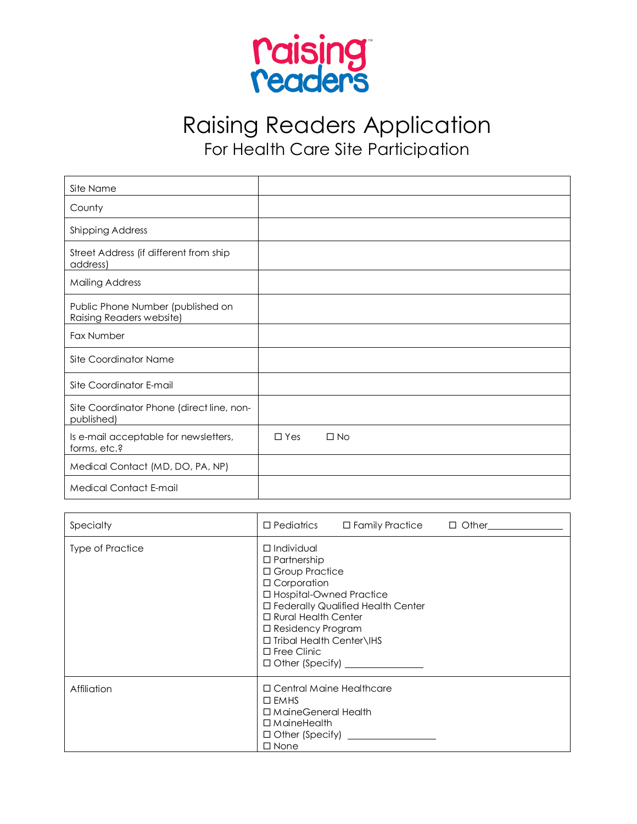

Raising Readers Application For Health Care Site Participation

| Site Name                                                     |            |           |  |
|---------------------------------------------------------------|------------|-----------|--|
| County                                                        |            |           |  |
| <b>Shipping Address</b>                                       |            |           |  |
| Street Address (if different from ship<br>address)            |            |           |  |
| <b>Mailing Address</b>                                        |            |           |  |
| Public Phone Number (published on<br>Raising Readers website) |            |           |  |
| Fax Number                                                    |            |           |  |
| Site Coordinator Name                                         |            |           |  |
| Site Coordinator E-mail                                       |            |           |  |
| Site Coordinator Phone (direct line, non-<br>published)       |            |           |  |
| Is e-mail acceptable for newsletters,<br>forms, etc.?         | $\Box$ Yes | $\Box$ No |  |
| Medical Contact (MD, DO, PA, NP)                              |            |           |  |
| <b>Medical Contact E-mail</b>                                 |            |           |  |

| Specialty               | □ Pediatrics □ Family Practice □ Other                                                                                                                                                                                                                            |
|-------------------------|-------------------------------------------------------------------------------------------------------------------------------------------------------------------------------------------------------------------------------------------------------------------|
| <b>Type of Practice</b> | $\Box$ Individual<br>$\Box$ Partnership<br>□ Group Practice<br>$\Box$ Corporation<br>□ Hospital-Owned Practice<br>□ Federally Qualified Health Center<br>□ Rural Health Center<br>$\Box$ Residency Program<br>□ Tribal Health Center\IHS<br>$\square$ Free Clinic |
| <b>Affiliation</b>      | □ Central Maine Healthcare<br>$\square$ EMHS<br>□ MaineGeneral Health<br>$\Box$ Maine Health<br>$\square$ None                                                                                                                                                    |